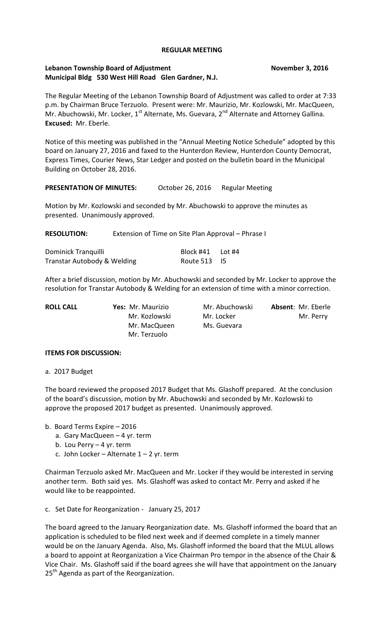### **REGULAR MEETING**

## Lebanon Township Board of Adjustment **November 3, 2016 Municipal Bldg 530 West Hill Road Glen Gardner, N.J.**

The Regular Meeting of the Lebanon Township Board of Adjustment was called to order at 7:33 p.m. by Chairman Bruce Terzuolo. Present were: Mr. Maurizio, Mr. Kozlowski, Mr. MacQueen, Mr. Abuchowski, Mr. Locker, 1<sup>st</sup> Alternate, Ms. Guevara, 2<sup>nd</sup> Alternate and Attorney Gallina. **Excused:** Mr. Eberle.

Notice of this meeting was published in the "Annual Meeting Notice Schedule" adopted by this board on January 27, 2016 and faxed to the Hunterdon Review, Hunterdon County Democrat, Express Times, Courier News, Star Ledger and posted on the bulletin board in the Municipal Building on October 28, 2016.

## PRESENTATION OF MINUTES: October 26, 2016 Regular Meeting

Motion by Mr. Kozlowski and seconded by Mr. Abuchowski to approve the minutes as presented. Unanimously approved.

**RESOLUTION:** Extension of Time on Site Plan Approval – Phrase I

| Dominick Tranquilli         | Block #41 Lot #4 |  |
|-----------------------------|------------------|--|
| Transtar Autobody & Welding | Route 513 I5     |  |

After a brief discussion, motion by Mr. Abuchowski and seconded by Mr. Locker to approve the resolution for Transtar Autobody & Welding for an extension of time with a minor correction.

| <b>ROLL CALL</b> | Yes: Mr. Maurizio | Mr. Abuchowski | <b>Absent: Mr. Eberle</b> |
|------------------|-------------------|----------------|---------------------------|
|                  | Mr. Kozlowski     | Mr. Locker     | Mr. Perry                 |
|                  | Mr. MacQueen      | Ms. Guevara    |                           |
|                  | Mr. Terzuolo      |                |                           |

## **ITEMS FOR DISCUSSION:**

a. 2017 Budget

The board reviewed the proposed 2017 Budget that Ms. Glashoff prepared. At the conclusion of the board's discussion, motion by Mr. Abuchowski and seconded by Mr. Kozlowski to approve the proposed 2017 budget as presented. Unanimously approved.

b. Board Terms Expire – 2016

- a. Gary MacQueen 4 yr. term
- b. Lou Perry 4 yr. term
- c. John Locker Alternate  $1 2$  yr. term

Chairman Terzuolo asked Mr. MacQueen and Mr. Locker if they would be interested in serving another term. Both said yes. Ms. Glashoff was asked to contact Mr. Perry and asked if he would like to be reappointed.

c. Set Date for Reorganization - January 25, 2017

The board agreed to the January Reorganization date. Ms. Glashoff informed the board that an application is scheduled to be filed next week and if deemed complete in a timely manner would be on the January Agenda. Also, Ms. Glashoff informed the board that the MLUL allows a board to appoint at Reorganization a Vice Chairman Pro tempor in the absence of the Chair & Vice Chair. Ms. Glashoff said if the board agrees she will have that appointment on the January 25<sup>th</sup> Agenda as part of the Reorganization.